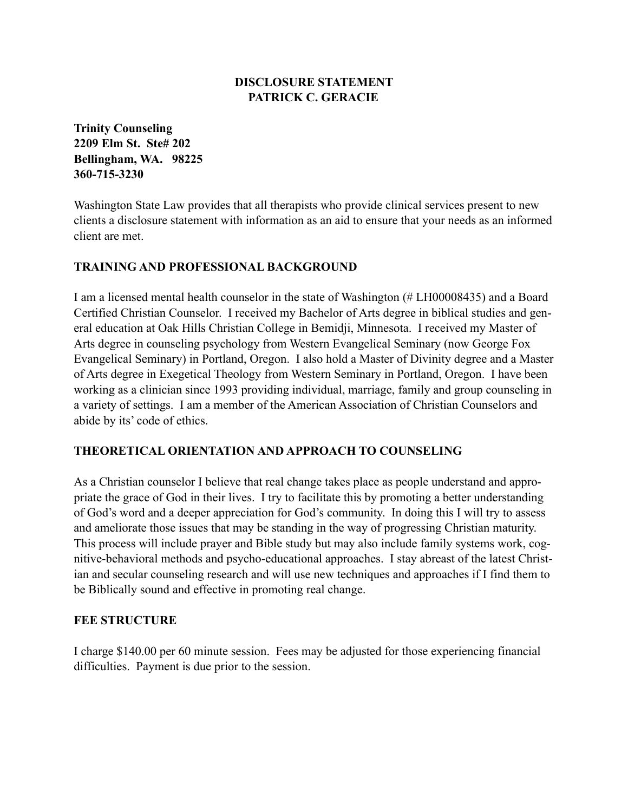### **DISCLOSURE STATEMENT PATRICK C. GERACIE**

**Trinity Counseling 2209 Elm St. Ste# 202 Bellingham, WA. 98225 360-715-3230** 

Washington State Law provides that all therapists who provide clinical services present to new clients a disclosure statement with information as an aid to ensure that your needs as an informed client are met.

## **TRAINING AND PROFESSIONAL BACKGROUND**

I am a licensed mental health counselor in the state of Washington (# LH00008435) and a Board Certified Christian Counselor. I received my Bachelor of Arts degree in biblical studies and general education at Oak Hills Christian College in Bemidji, Minnesota. I received my Master of Arts degree in counseling psychology from Western Evangelical Seminary (now George Fox Evangelical Seminary) in Portland, Oregon. I also hold a Master of Divinity degree and a Master of Arts degree in Exegetical Theology from Western Seminary in Portland, Oregon. I have been working as a clinician since 1993 providing individual, marriage, family and group counseling in a variety of settings. I am a member of the American Association of Christian Counselors and abide by its' code of ethics.

### **THEORETICAL ORIENTATION AND APPROACH TO COUNSELING**

As a Christian counselor I believe that real change takes place as people understand and appropriate the grace of God in their lives. I try to facilitate this by promoting a better understanding of God's word and a deeper appreciation for God's community. In doing this I will try to assess and ameliorate those issues that may be standing in the way of progressing Christian maturity. This process will include prayer and Bible study but may also include family systems work, cognitive-behavioral methods and psycho-educational approaches. I stay abreast of the latest Christian and secular counseling research and will use new techniques and approaches if I find them to be Biblically sound and effective in promoting real change.

### **FEE STRUCTURE**

I charge \$140.00 per 60 minute session. Fees may be adjusted for those experiencing financial difficulties. Payment is due prior to the session.